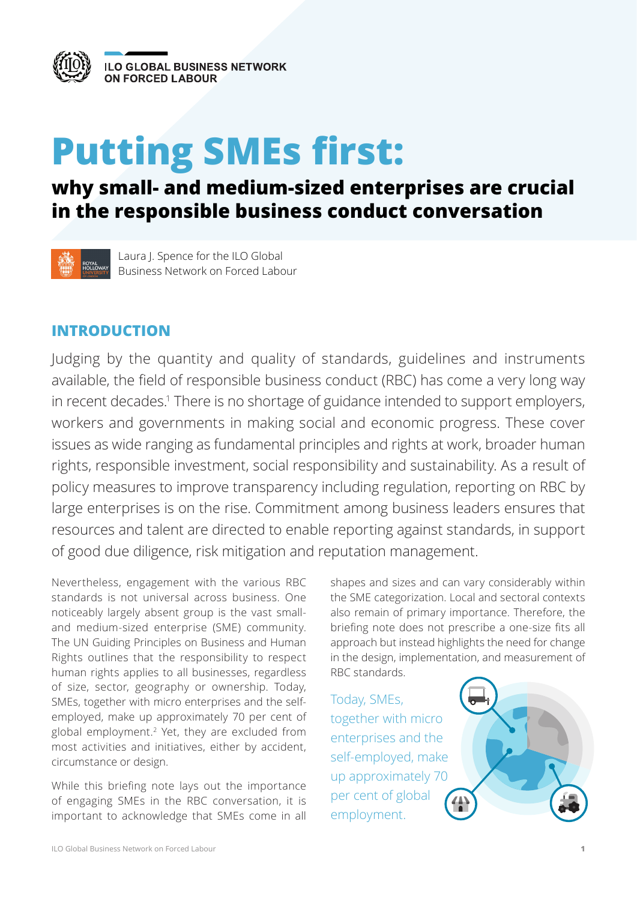<span id="page-0-0"></span>

# **Putting SMEs first:**

## **why small- and medium-sized enterprises are crucial in the responsible business conduct conversation**



Laura J. Spence for the ILO Global Business Network on Forced Labour

## **INTRODUCTION**

Judging by the quantity and quality of standards, guidelines and instruments available, the field of responsible business conduct (RBC) has come a very long way in recent decades.<sup>1</sup> There is no shortage of guidance intended to support employers, workers and governments in making social and economic progress. These cover issues as wide ranging as fundamental principles and rights at work, broader human rights, responsible investment, social responsibility and sustainability. As a result of policy measures to improve transparency including regulation, reporting on RBC by large enterprises is on the rise. Commitment among business leaders ensures that resources and talent are directed to enable reporting against standards, in support of good due diligence, risk mitigation and reputation management.

Nevertheless, engagement with the various RBC standards is not universal across business. One noticeably largely absent group is the vast smalland medium-sized enterprise (SME) community. The UN Guiding Principles on Business and Human Rights outlines that the responsibility to respect human rights applies to all businesses, regardless of size, sector, geography or ownership. Today, SMEs, together with micro enterprises and the selfemployed, make up approximately 70 per cent of global employment[.2](#page-7-0) Yet, they are excluded from most activities and initiatives, either by accident, circumstance or design.

While this briefing note lays out the importance of engaging SMEs in the RBC conversation, it is important to acknowledge that SMEs come in all shapes and sizes and can vary considerably within the SME categorization. Local and sectoral contexts also remain of primary importance. Therefore, the briefing note does not prescribe a one-size fits all approach but instead highlights the need for change in the design, implementation, and measurement of RBC standards.

Today, SMEs, together with micro enterprises and the self-employed, make up approximately 70 per cent of global employment.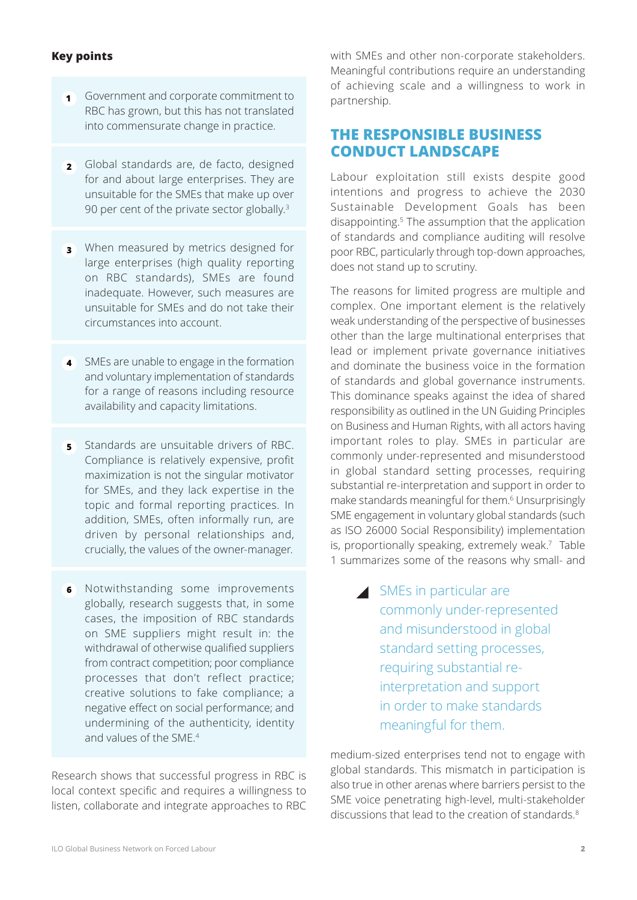#### <span id="page-1-0"></span>**Key points**

- Government and corporate commitment to **1** RBC has grown, but this has not translated into commensurate change in practice.
- Global standards are, de facto, designed **2** for and about large enterprises. They are unsuitable for the SMEs that make up over 90 per cent of the private sector globally.<sup>[3](#page-7-0)</sup>
- When measured by metrics designed for **3** large enterprises (high quality reporting on RBC standards), SMEs are found inadequate. However, such measures are unsuitable for SMEs and do not take their circumstances into account.
- SMEs are unable to engage in the formation **4** and voluntary implementation of standards for a range of reasons including resource availability and capacity limitations.
- **5** Standards are unsuitable drivers of RBC. Compliance is relatively expensive, profit maximization is not the singular motivator for SMEs, and they lack expertise in the topic and formal reporting practices. In addition, SMEs, often informally run, are driven by personal relationships and, crucially, the values of the owner-manager.
- Notwithstanding some improvements **<sup>6</sup>** SMEs in particular are globally, research suggests that, in some cases, the imposition of RBC standards on SME suppliers might result in: the withdrawal of otherwise qualified suppliers from contract competition; poor compliance processes that don't reflect practice; creative solutions to fake compliance; a negative effect on social performance; and undermining of the authenticity, identity and values of the SME.<sup>[4](#page-7-0)</sup>

Research shows that successful progress in RBC is local context specific and requires a willingness to listen, collaborate and integrate approaches to RBC with SMEs and other non-corporate stakeholders. Meaningful contributions require an understanding of achieving scale and a willingness to work in partnership.

## **THE RESPONSIBLE BUSINESS CONDUCT LANDSCAPE**

Labour exploitation still exists despite good intentions and progress to achieve the 2030 Sustainable Development Goals has been disappointing.<sup>[5](#page-7-0)</sup> The assumption that the application of standards and compliance auditing will resolve poor RBC, particularly through top-down approaches, does not stand up to scrutiny.

The reasons for limited progress are multiple and complex. One important element is the relatively weak understanding of the perspective of businesses other than the large multinational enterprises that lead or implement private governance initiatives and dominate the business voice in the formation of standards and global governance instruments. This dominance speaks against the idea of shared responsibility as outlined in the UN Guiding Principles on Business and Human Rights, with all actors having important roles to play. SMEs in particular are commonly under-represented and misunderstood in global standard setting processes, requiring substantial re-interpretation and support in order to make standards meaningful for them.<sup>[6](#page-7-0)</sup> Unsurprisingly SME engagement in voluntary global standards (such as ISO 26000 Social Responsibility) implementation is, proportionally speaking, extremely weak.<sup>7</sup> Table 1 summarizes some of the reasons why small- and

> commonly under-represented and misunderstood in global standard setting processes, requiring substantial reinterpretation and support in order to make standards meaningful for them.

medium-sized enterprises tend not to engage with global standards. This mismatch in participation is also true in other arenas where barriers persist to the SME voice penetrating high-level, multi-stakeholder discussions that lead to the creation of standards.[8](#page-7-0)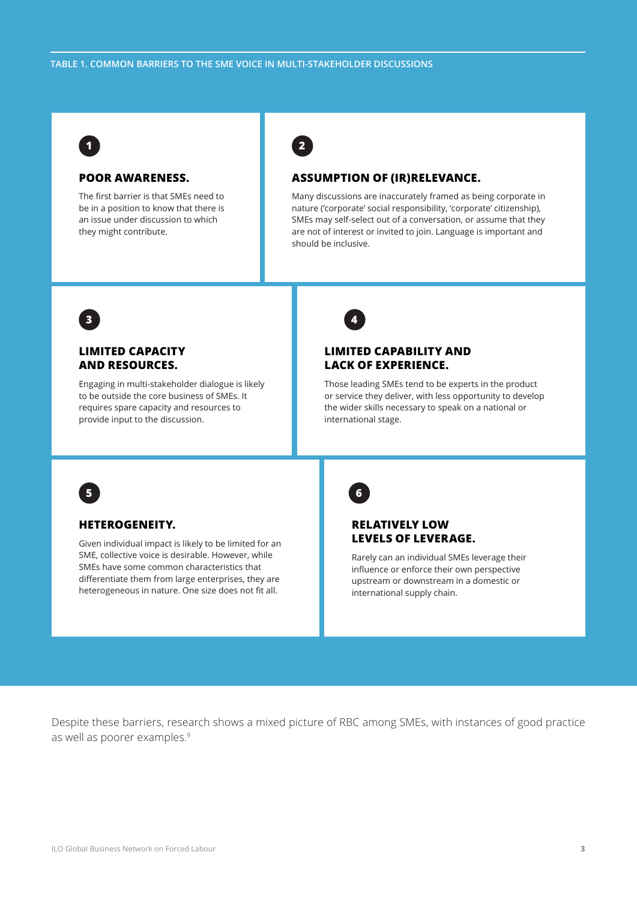**2**

<span id="page-2-0"></span>

#### **POOR AWARENESS.**

The first barrier is that SMEs need to be in a position to know that there is an issue under discussion to which they might contribute.

#### **ASSUMPTION OF (IR)RELEVANCE.**

Many discussions are inaccurately framed as being corporate in nature ('corporate' social responsibility, 'corporate' citizenship), SMEs may self-select out of a conversation, or assume that they are not of interest or invited to join. Language is important and should be inclusive.



#### **LIMITED CAPACITY AND RESOURCES.**

Engaging in multi-stakeholder dialogue is likely to be outside the core business of SMEs. It requires spare capacity and resources to provide input to the discussion.



#### **LIMITED CAPABILITY AND LACK OF EXPERIENCE.**

Those leading SMEs tend to be experts in the product or service they deliver, with less opportunity to develop the wider skills necessary to speak on a national or international stage.



#### **HETEROGENEITY.**

Given individual impact is likely to be limited for an SME, collective voice is desirable. However, while SMEs have some common characteristics that differentiate them from large enterprises, they are heterogeneous in nature. One size does not fit all.



#### **RELATIVELY LOW LEVELS OF LEVERAGE.**

Rarely can an individual SMEs leverage their influence or enforce their own perspective upstream or downstream in a domestic or international supply chain.

Despite these barriers, research shows a mixed picture of RBC among SMEs, with instances of good practice as well as poorer examples.[9](#page-7-0)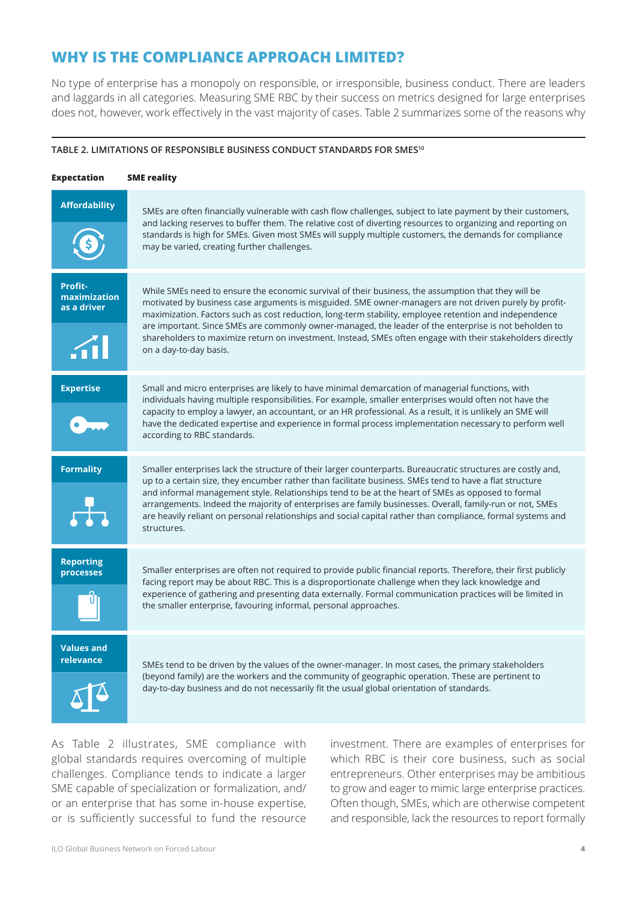## <span id="page-3-0"></span>**WHY IS THE COMPLIANCE APPROACH LIMITED?**

No type of enterprise has a monopoly on responsible, or irresponsible, business conduct. There are leaders and laggards in all categories. Measuring SME RBC by their success on metrics designed for large enterprises does not, however, work effectively in the vast majority of cases. Table 2 summarizes some of the reasons why

#### **TABLE 2. LIMITATIONS OF RESPONSIBLE BUSINESS CONDUCT STANDARDS FOR SMES[10](#page-7-0)**

| Expectation                                 | <b>SME</b> reality                                                                                                                                                                                                                                                                                                                                                                                                                                                                                                                                                       |
|---------------------------------------------|--------------------------------------------------------------------------------------------------------------------------------------------------------------------------------------------------------------------------------------------------------------------------------------------------------------------------------------------------------------------------------------------------------------------------------------------------------------------------------------------------------------------------------------------------------------------------|
| <b>Affordability</b>                        | SMEs are often financially vulnerable with cash flow challenges, subject to late payment by their customers,<br>and lacking reserves to buffer them. The relative cost of diverting resources to organizing and reporting on<br>standards is high for SMEs. Given most SMEs will supply multiple customers, the demands for compliance<br>may be varied, creating further challenges.                                                                                                                                                                                    |
| Profit-<br>maximization<br>as a driver<br>M | While SMEs need to ensure the economic survival of their business, the assumption that they will be<br>motivated by business case arguments is misguided. SME owner-managers are not driven purely by profit-<br>maximization. Factors such as cost reduction, long-term stability, employee retention and independence<br>are important. Since SMEs are commonly owner-managed, the leader of the enterprise is not beholden to<br>shareholders to maximize return on investment. Instead, SMEs often engage with their stakeholders directly<br>on a day-to-day basis. |
| <b>Expertise</b>                            | Small and micro enterprises are likely to have minimal demarcation of managerial functions, with<br>individuals having multiple responsibilities. For example, smaller enterprises would often not have the<br>capacity to employ a lawyer, an accountant, or an HR professional. As a result, it is unlikely an SME will<br>have the dedicated expertise and experience in formal process implementation necessary to perform well<br>according to RBC standards.                                                                                                       |
| <b>Formality</b>                            | Smaller enterprises lack the structure of their larger counterparts. Bureaucratic structures are costly and,<br>up to a certain size, they encumber rather than facilitate business. SMEs tend to have a flat structure<br>and informal management style. Relationships tend to be at the heart of SMEs as opposed to formal<br>arrangements. Indeed the majority of enterprises are family businesses. Overall, family-run or not, SMEs<br>are heavily reliant on personal relationships and social capital rather than compliance, formal systems and<br>structures.   |
| <b>Reporting</b><br>processes               | Smaller enterprises are often not required to provide public financial reports. Therefore, their first publicly<br>facing report may be about RBC. This is a disproportionate challenge when they lack knowledge and<br>experience of gathering and presenting data externally. Formal communication practices will be limited in<br>the smaller enterprise, favouring informal, personal approaches.                                                                                                                                                                    |
| <b>Values and</b><br>relevance              | SMEs tend to be driven by the values of the owner-manager. In most cases, the primary stakeholders<br>(beyond family) are the workers and the community of geographic operation. These are pertinent to<br>day-to-day business and do not necessarily fit the usual global orientation of standards.                                                                                                                                                                                                                                                                     |

As Table 2 illustrates, SME compliance with global standards requires overcoming of multiple challenges. Compliance tends to indicate a larger SME capable of specialization or formalization, and/ or an enterprise that has some in-house expertise, or is sufficiently successful to fund the resource investment. There are examples of enterprises for which RBC is their core business, such as social entrepreneurs. Other enterprises may be ambitious to grow and eager to mimic large enterprise practices. Often though, SMEs, which are otherwise competent and responsible, lack the resources to report formally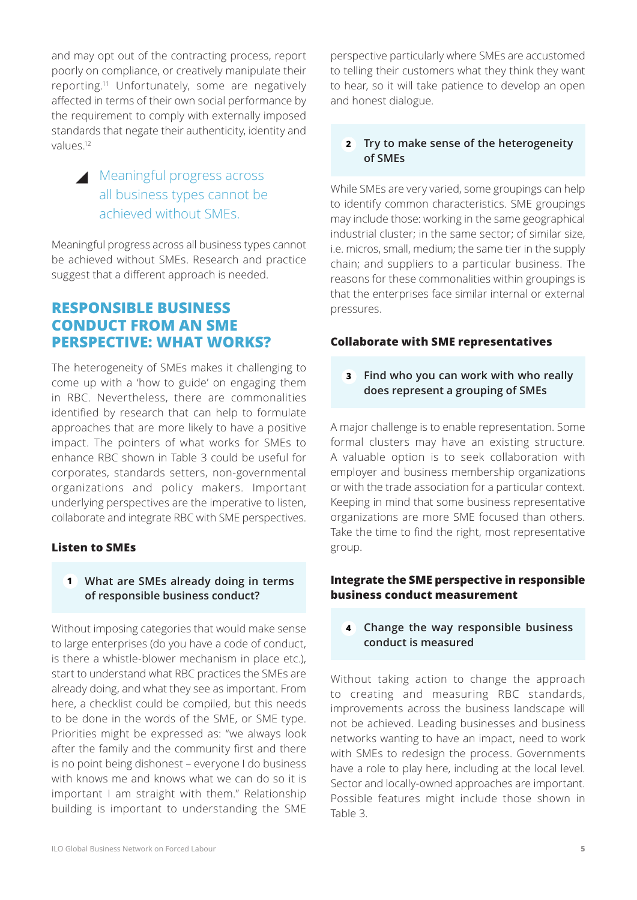<span id="page-4-0"></span>and may opt out of the contracting process, report poorly on compliance, or creatively manipulate their reporting[.11](#page-7-0) Unfortunately, some are negatively affected in terms of their own social performance by the requirement to comply with externally imposed standards that negate their authenticity, identity and values[.12](#page-7-0)

## Meaningful progress across all business types cannot be achieved without SMEs.

Meaningful progress across all business types cannot be achieved without SMEs. Research and practice suggest that a different approach is needed.

## **RESPONSIBLE BUSINESS CONDUCT FROM AN SME PERSPECTIVE: WHAT WORKS?**

The heterogeneity of SMEs makes it challenging to come up with a 'how to guide' on engaging them in RBC. Nevertheless, there are commonalities identified by research that can help to formulate approaches that are more likely to have a positive impact. The pointers of what works for SMEs to enhance RBC shown in Table 3 could be useful for corporates, standards setters, non-governmental organizations and policy makers. Important underlying perspectives are the imperative to listen, collaborate and integrate RBC with SME perspectives.

#### **Listen to SMEs**

#### **What are SMEs already doing in terms 1 of responsible business conduct?**

Without imposing categories that would make sense to large enterprises (do you have a code of conduct, is there a whistle-blower mechanism in place etc.), start to understand what RBC practices the SMEs are already doing, and what they see as important. From here, a checklist could be compiled, but this needs to be done in the words of the SME, or SME type. Priorities might be expressed as: "we always look after the family and the community first and there is no point being dishonest – everyone I do business with knows me and knows what we can do so it is important I am straight with them." Relationship building is important to understanding the SME perspective particularly where SMEs are accustomed to telling their customers what they think they want to hear, so it will take patience to develop an open and honest dialogue.

#### **Try to make sense of the heterogeneity 2 of SMEs**

While SMEs are very varied, some groupings can help to identify common characteristics. SME groupings may include those: working in the same geographical industrial cluster; in the same sector; of similar size, i.e. micros, small, medium; the same tier in the supply chain; and suppliers to a particular business. The reasons for these commonalities within groupings is that the enterprises face similar internal or external pressures.

#### **Collaborate with SME representatives**

#### **Find who you can work with who really 3 does represent a grouping of SMEs**

A major challenge is to enable representation. Some formal clusters may have an existing structure. A valuable option is to seek collaboration with employer and business membership organizations or with the trade association for a particular context. Keeping in mind that some business representative organizations are more SME focused than others. Take the time to find the right, most representative group.

#### **Integrate the SME perspective in responsible business conduct measurement**

#### **Change the way responsible business 4 conduct is measured**

Without taking action to change the approach to creating and measuring RBC standards, improvements across the business landscape will not be achieved. Leading businesses and business networks wanting to have an impact, need to work with SMEs to redesign the process. Governments have a role to play here, including at the local level. Sector and locally-owned approaches are important. Possible features might include those shown in Table 3.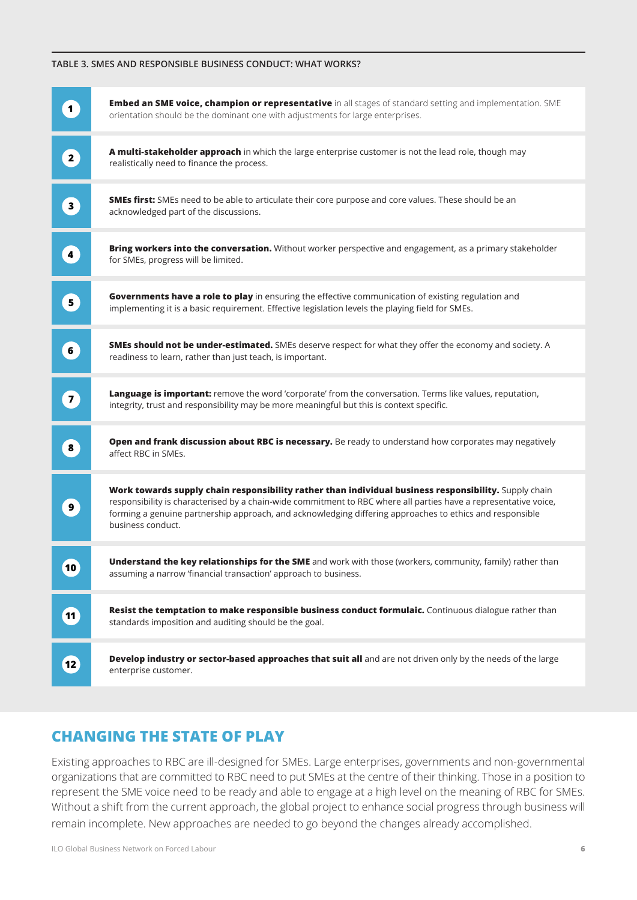#### **TABLE 3. SMES AND RESPONSIBLE BUSINESS CONDUCT: WHAT WORKS?**

| $\mathbf 1$                       | Embed an SME voice, champion or representative in all stages of standard setting and implementation. SME<br>orientation should be the dominant one with adjustments for large enterprises.                                                                                                                                                                 |
|-----------------------------------|------------------------------------------------------------------------------------------------------------------------------------------------------------------------------------------------------------------------------------------------------------------------------------------------------------------------------------------------------------|
| $\left( \frac{2}{2} \right)$      | A multi-stakeholder approach in which the large enterprise customer is not the lead role, though may<br>realistically need to finance the process.                                                                                                                                                                                                         |
| $\overline{\mathbf{3}}$           | SMEs first: SMEs need to be able to articulate their core purpose and core values. These should be an<br>acknowledged part of the discussions.                                                                                                                                                                                                             |
| $\overline{4}$                    | Bring workers into the conversation. Without worker perspective and engagement, as a primary stakeholder<br>for SMEs, progress will be limited.                                                                                                                                                                                                            |
| $\left  \mathbf{5} \right\rangle$ | Governments have a role to play in ensuring the effective communication of existing regulation and<br>implementing it is a basic requirement. Effective legislation levels the playing field for SMEs.                                                                                                                                                     |
| $\bullet$                         | <b>SMEs should not be under-estimated.</b> SMEs deserve respect for what they offer the economy and society. A<br>readiness to learn, rather than just teach, is important.                                                                                                                                                                                |
| $\overline{7}$                    | Language is important: remove the word 'corporate' from the conversation. Terms like values, reputation,<br>integrity, trust and responsibility may be more meaningful but this is context specific.                                                                                                                                                       |
| $\boldsymbol{8}$                  | Open and frank discussion about RBC is necessary. Be ready to understand how corporates may negatively<br>affect RBC in SMEs.                                                                                                                                                                                                                              |
| 9                                 | Work towards supply chain responsibility rather than individual business responsibility. Supply chain<br>responsibility is characterised by a chain-wide commitment to RBC where all parties have a representative voice,<br>forming a genuine partnership approach, and acknowledging differing approaches to ethics and responsible<br>business conduct. |
| $ 10\rangle$                      | Understand the key relationships for the SME and work with those (workers, community, family) rather than<br>assuming a narrow 'financial transaction' approach to business.                                                                                                                                                                               |
| $\boxed{11}$                      | Resist the temptation to make responsible business conduct formulaic. Continuous dialogue rather than<br>standards imposition and auditing should be the goal.                                                                                                                                                                                             |
| (12)                              | Develop industry or sector-based approaches that suit all and are not driven only by the needs of the large<br>enterprise customer.                                                                                                                                                                                                                        |

## **CHANGING THE STATE OF PLAY**

Existing approaches to RBC are ill-designed for SMEs. Large enterprises, governments and non-governmental organizations that are committed to RBC need to put SMEs at the centre of their thinking. Those in a position to represent the SME voice need to be ready and able to engage at a high level on the meaning of RBC for SMEs. Without a shift from the current approach, the global project to enhance social progress through business will remain incomplete. New approaches are needed to go beyond the changes already accomplished.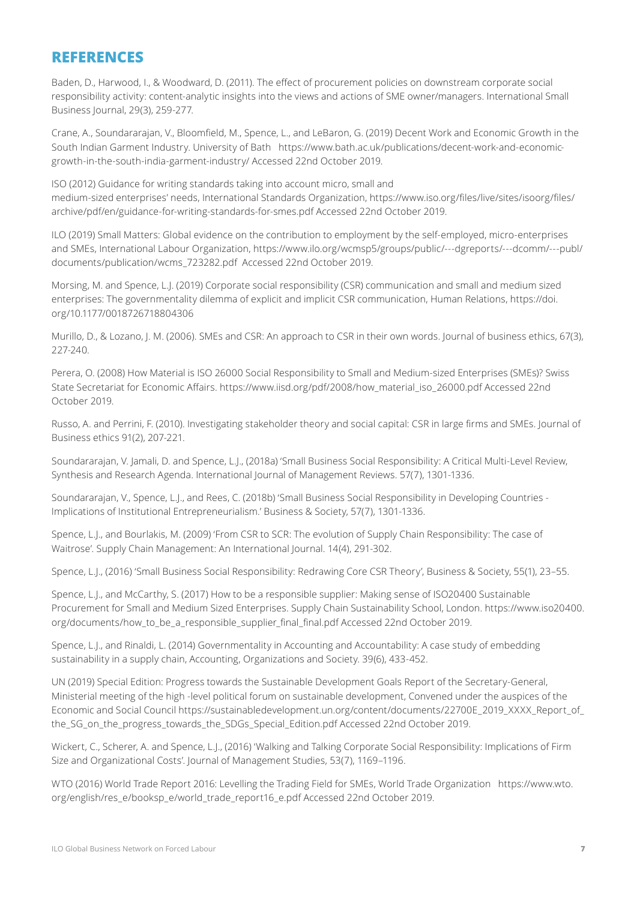### **REFERENCES**

Baden, D., Harwood, I., & Woodward, D. (2011). The effect of procurement policies on downstream corporate social responsibility activity: content-analytic insights into the views and actions of SME owner/managers. International Small Business Journal, 29(3), 259-277.

Crane, A., Soundararajan, V., Bloomfield, M., Spence, L., and LeBaron, G. (2019) Decent Work and Economic Growth in the South Indian Garment Industry. University of Bath https://www.bath.ac.uk/publications/decent-work-and-economicgrowth-in-the-south-india-garment-industry/ Accessed 22nd October 2019.

ISO (2012) Guidance for writing standards taking into account micro, small and medium-sized enterprises' needs, International Standards Organization, https://www.iso.org/files/live/sites/isoorg/files/ archive/pdf/en/guidance-for-writing-standards-for-smes.pdf Accessed 22nd October 2019.

ILO (2019) Small Matters: Global evidence on the contribution to employment by the self-employed, micro-enterprises and SMEs, International Labour Organization, https://www.ilo.org/wcmsp5/groups/public/---dgreports/---dcomm/---publ/ documents/publication/wcms\_723282.pdf Accessed 22nd October 2019.

Morsing, M. and Spence, L.J. (2019) Corporate social responsibility (CSR) communication and small and medium sized enterprises: The governmentality dilemma of explicit and implicit CSR communication, Human Relations, https://doi. org/10.1177/0018726718804306

Murillo, D., & Lozano, J. M. (2006). SMEs and CSR: An approach to CSR in their own words. Journal of business ethics, 67(3), 227-240.

Perera, O. (2008) How Material is ISO 26000 Social Responsibility to Small and Medium-sized Enterprises (SMEs)? Swiss State Secretariat for Economic Affairs. https://www.iisd.org/pdf/2008/how\_material\_iso\_26000.pdf Accessed 22nd October 2019.

Russo, A. and Perrini, F. (2010). Investigating stakeholder theory and social capital: CSR in large firms and SMEs. Journal of Business ethics 91(2), 207-221.

Soundararajan, V. Jamali, D. and Spence, L.J., (2018a) 'Small Business Social Responsibility: A Critical Multi-Level Review, Synthesis and Research Agenda. International Journal of Management Reviews. 57(7), 1301-1336.

Soundararajan, V., Spence, L.J., and Rees, C. (2018b) 'Small Business Social Responsibility in Developing Countries - Implications of Institutional Entrepreneurialism.' Business & Society, 57(7), 1301-1336.

Spence, L.J., and Bourlakis, M. (2009) 'From CSR to SCR: The evolution of Supply Chain Responsibility: The case of Waitrose'. Supply Chain Management: An International Journal. 14(4), 291-302.

Spence, L.J., (2016) 'Small Business Social Responsibility: Redrawing Core CSR Theory', Business & Society, 55(1), 23–55.

Spence, L.J., and McCarthy, S. (2017) How to be a responsible supplier: Making sense of ISO20400 Sustainable Procurement for Small and Medium Sized Enterprises. Supply Chain Sustainability School, London. https://www.iso20400. org/documents/how\_to\_be\_a\_responsible\_supplier\_final\_final.pdf Accessed 22nd October 2019.

Spence, L.J., and Rinaldi, L. (2014) Governmentality in Accounting and Accountability: A case study of embedding sustainability in a supply chain, Accounting, Organizations and Society. 39(6), 433-452.

UN (2019) Special Edition: Progress towards the Sustainable Development Goals Report of the Secretary-General, Ministerial meeting of the high -level political forum on sustainable development, Convened under the auspices of the Economic and Social Council https://sustainabledevelopment.un.org/content/documents/22700E\_2019\_XXXX\_Report\_of\_ the SG on the progress towards the SDGs Special Edition.pdf Accessed 22nd October 2019.

Wickert, C., Scherer, A. and Spence, L.J., (2016) 'Walking and Talking Corporate Social Responsibility: Implications of Firm Size and Organizational Costs'. Journal of Management Studies, 53(7), 1169–1196.

WTO (2016) World Trade Report 2016: Levelling the Trading Field for SMEs, World Trade Organization https://www.wto. org/english/res\_e/booksp\_e/world\_trade\_report16\_e.pdf Accessed 22nd October 2019.